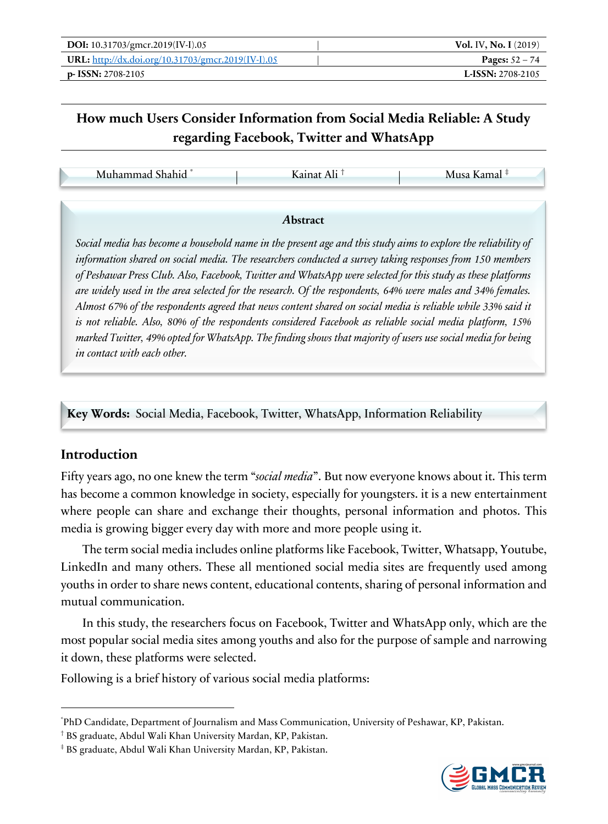| DOI: 10.31703/gmcr.2019(IV-I).05                          | <b>Vol. IV, No. I</b> $(2019)$ |
|-----------------------------------------------------------|--------------------------------|
| <b>URL:</b> http://dx.doi.org/10.31703/gmcr.2019(IV-I).05 | <b>Pages:</b> $52 - 74$        |
| $p-$ ISSN: 2708-2105                                      | <b>L-ISSN: 2708-2105</b>       |

# **How much Users Consider Information from Social Media Reliable: A Study regarding Facebook, Twitter and WhatsApp**

Muhammad Shahid \* | Kainat Ali † | Musa Kamal ‡

#### *A***bstract**

*Social media has become a household name in the present age and this study aims to explore the reliability of information shared on social media. The researchers conducted a survey taking responses from 150 members of Peshawar Press Club. Also, Facebook, Twitter and WhatsApp were selected for this study as these platforms are widely used in the area selected for the research. Of the respondents, 64% were males and 34% females. Almost 67% of the respondents agreed that news content shared on social media is reliable while 33% said it is not reliable. Also, 80% of the respondents considered Facebook as reliable social media platform, 15% marked Twitter, 49% opted for WhatsApp. The finding shows that majority of users use social media for being in contact with each other.*

**Key Words:** Social Media, Facebook, Twitter, WhatsApp, Information Reliability

### **Introduction**

Fifty years ago, no one knew the term "*social media*". But now everyone knows about it. This term has become a common knowledge in society, especially for youngsters. it is a new entertainment where people can share and exchange their thoughts, personal information and photos. This media is growing bigger every day with more and more people using it.

The term social media includes online platforms like Facebook, Twitter, Whatsapp, Youtube, LinkedIn and many others. These all mentioned social media sites are frequently used among youths in order to share news content, educational contents, sharing of personal information and mutual communication.

In this study, the researchers focus on Facebook, Twitter and WhatsApp only, which are the most popular social media sites among youths and also for the purpose of sample and narrowing it down, these platforms were selected.

Following is a brief history of various social media platforms:



<sup>\*</sup> PhD Candidate, Department of Journalism and Mass Communication, University of Peshawar, KP, Pakistan.

<sup>†</sup> BS graduate, Abdul Wali Khan University Mardan, KP, Pakistan.

<sup>‡</sup> BS graduate, Abdul Wali Khan University Mardan, KP, Pakistan.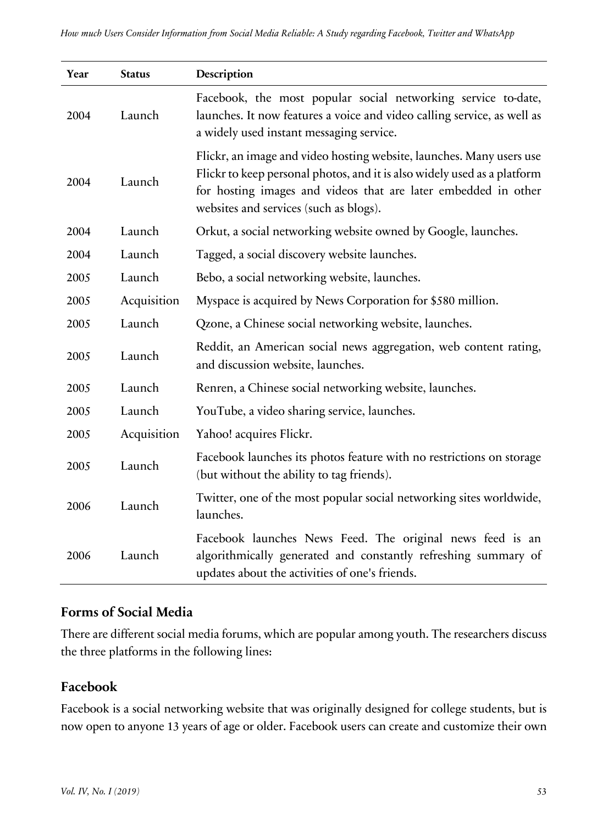| Year | <b>Status</b> | Description                                                                                                                                                                                                                                                  |
|------|---------------|--------------------------------------------------------------------------------------------------------------------------------------------------------------------------------------------------------------------------------------------------------------|
| 2004 | Launch        | Facebook, the most popular social networking service to-date,<br>launches. It now features a voice and video calling service, as well as<br>a widely used instant messaging service.                                                                         |
| 2004 | Launch        | Flickr, an image and video hosting website, launches. Many users use<br>Flickr to keep personal photos, and it is also widely used as a platform<br>for hosting images and videos that are later embedded in other<br>websites and services (such as blogs). |
| 2004 | Launch        | Orkut, a social networking website owned by Google, launches.                                                                                                                                                                                                |
| 2004 | Launch        | Tagged, a social discovery website launches.                                                                                                                                                                                                                 |
| 2005 | Launch        | Bebo, a social networking website, launches.                                                                                                                                                                                                                 |
| 2005 | Acquisition   | Myspace is acquired by News Corporation for \$580 million.                                                                                                                                                                                                   |
| 2005 | Launch        | Qzone, a Chinese social networking website, launches.                                                                                                                                                                                                        |
| 2005 | Launch        | Reddit, an American social news aggregation, web content rating,<br>and discussion website, launches.                                                                                                                                                        |
| 2005 | Launch        | Renren, a Chinese social networking website, launches.                                                                                                                                                                                                       |
| 2005 | Launch        | YouTube, a video sharing service, launches.                                                                                                                                                                                                                  |
| 2005 | Acquisition   | Yahoo! acquires Flickr.                                                                                                                                                                                                                                      |
| 2005 | Launch        | Facebook launches its photos feature with no restrictions on storage<br>(but without the ability to tag friends).                                                                                                                                            |
| 2006 | Launch        | Twitter, one of the most popular social networking sites worldwide,<br>launches.                                                                                                                                                                             |
| 2006 | Launch        | Facebook launches News Feed. The original news feed is an<br>algorithmically generated and constantly refreshing summary of<br>updates about the activities of one's friends.                                                                                |

### **Forms of Social Media**

There are different social media forums, which are popular among youth. The researchers discuss the three platforms in the following lines:

# **Facebook**

Facebook is a social networking website that was originally designed for college students, but is now open to anyone 13 years of age or older. Facebook users can create and customize their own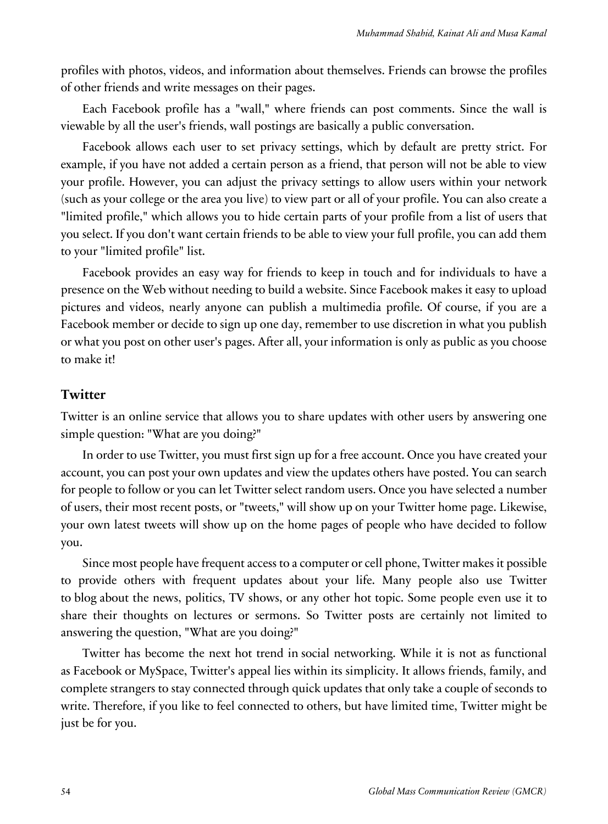profiles with photos, videos, and information about themselves. Friends can browse the profiles of other friends and write messages on their pages.

Each Facebook profile has a "wall," where friends can post comments. Since the wall is viewable by all the user's friends, wall postings are basically a public conversation.

Facebook allows each user to set privacy settings, which by default are pretty strict. For example, if you have not added a certain person as a friend, that person will not be able to view your profile. However, you can adjust the privacy settings to allow users within your network (such as your college or the area you live) to view part or all of your profile. You can also create a "limited profile," which allows you to hide certain parts of your profile from a list of users that you select. If you don't want certain friends to be able to view your full profile, you can add them to your "limited profile" list.

Facebook provides an easy way for friends to keep in touch and for individuals to have a presence on the Web without needing to build a website. Since Facebook makes it easy to upload pictures and videos, nearly anyone can publish a multimedia profile. Of course, if you are a Facebook member or decide to sign up one day, remember to use discretion in what you publish or what you post on other user's pages. After all, your information is only as public as you choose to make it!

#### **Twitter**

Twitter is an online service that allows you to share updates with other users by answering one simple question: "What are you doing?"

In order to use Twitter, you must first sign up for a free account. Once you have created your account, you can post your own updates and view the updates others have posted. You can search for people to follow or you can let Twitter select random users. Once you have selected a number of users, their most recent posts, or "tweets," will show up on your Twitter home page. Likewise, your own latest tweets will show up on the home pages of people who have decided to follow you.

Since most people have frequent access to a computer or cell phone, Twitter makes it possible to provide others with frequent updates about your life. Many people also use Twitter to blog about the news, politics, TV shows, or any other hot topic. Some people even use it to share their thoughts on lectures or sermons. So Twitter posts are certainly not limited to answering the question, "What are you doing?"

Twitter has become the next hot trend in social networking. While it is not as functional as Facebook or MySpace, Twitter's appeal lies within its simplicity. It allows friends, family, and complete strangers to stay connected through quick updates that only take a couple of seconds to write. Therefore, if you like to feel connected to others, but have limited time, Twitter might be just be for you.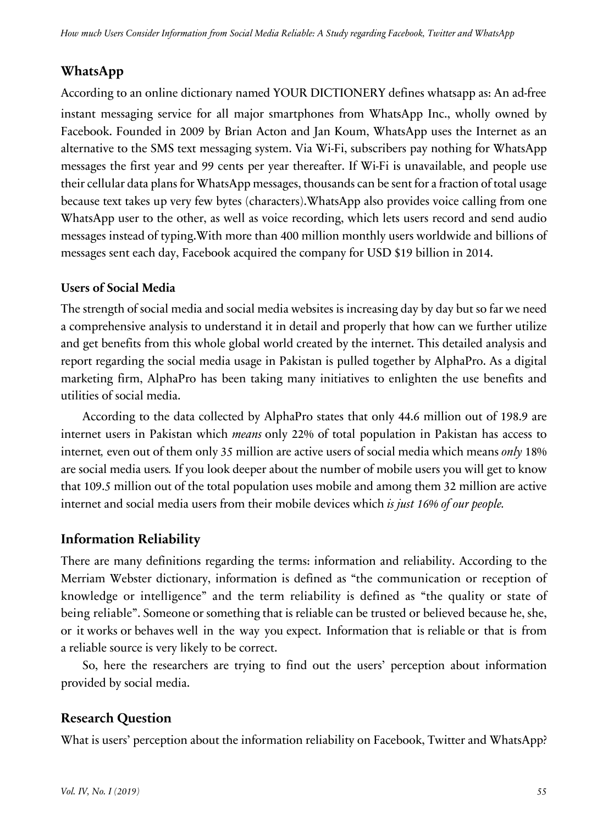# **WhatsApp**

According to an online dictionary named YOUR DICTIONERY defines whatsapp as: An ad-free instant messaging service for all major smartphones from WhatsApp Inc., wholly owned by Facebook. Founded in 2009 by Brian Acton and Jan Koum, WhatsApp uses the Internet as an alternative to the SMS text messaging system. Via Wi-Fi, subscribers pay nothing for WhatsApp messages the first year and 99 cents per year thereafter. If Wi-Fi is unavailable, and people use their cellular data plans for WhatsApp messages, thousands can be sent for a fraction of total usage because text takes up very few bytes (characters).WhatsApp also provides voice calling from one WhatsApp user to the other, as well as voice recording, which lets users record and send audio messages instead of typing.With more than 400 million monthly users worldwide and billions of messages sent each day, Facebook acquired the company for USD \$19 billion in 2014.

#### **Users of Social Media**

The strength of social media and social media websites is increasing day by day but so far we need a comprehensive analysis to understand it in detail and properly that how can we further utilize and get benefits from this whole global world created by the internet. This detailed analysis and report regarding the social media usage in Pakistan is pulled together by AlphaPro. As a digital marketing firm, AlphaPro has been taking many initiatives to enlighten the use benefits and utilities of social media.

According to the data collected by AlphaPro states that only 44.6 million out of 198.9 are internet users in Pakistan which *means* only 22% of total population in Pakistan has access to internet*,* even out of them only 35 million are active users of social media which means *only* 18% are social media users*.* If you look deeper about the number of mobile users you will get to know that 109.5 million out of the total population uses mobile and among them 32 million are active internet and social media users from their mobile devices which *is just 16% of our people.*

# **Information Reliability**

There are many definitions regarding the terms: information and reliability. According to the Merriam Webster dictionary, information is defined as "the communication or reception of knowledge or intelligence" and the term reliability is defined as "the quality or state of being reliable". Someone or something that is reliable can be trusted or believed because he, she, or it works or behaves well in the way you expect. Information that is reliable or that is from a reliable source is very likely to be correct.

So, here the researchers are trying to find out the users' perception about information provided by social media.

# **Research Question**

What is users' perception about the information reliability on Facebook, Twitter and WhatsApp?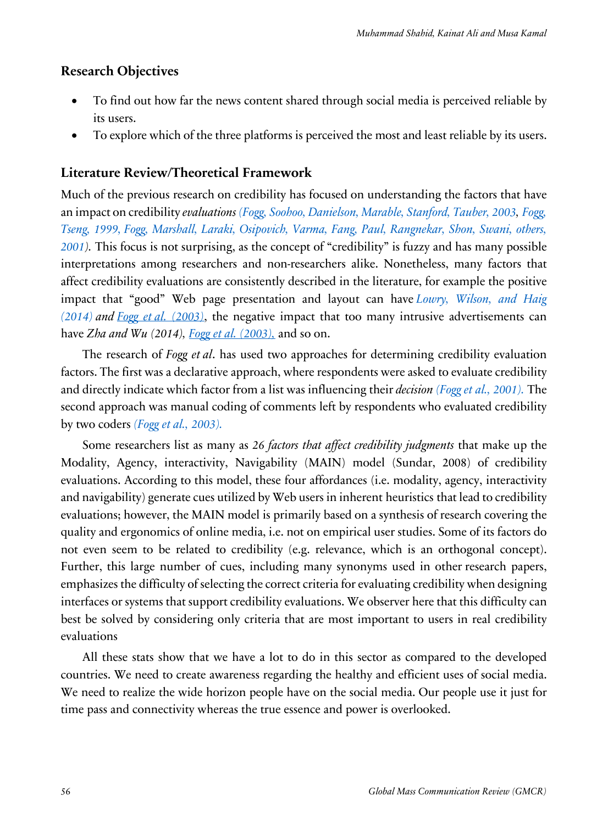#### **Research Objectives**

- To find out how far the news content shared through social media is perceived reliable by its users.
- To explore which of the three platforms is perceived the most and least reliable by its users.

#### **Literature Review/Theoretical Framework**

Much of the previous research on credibility has focused on understanding the factors that have an impact on credibility *evaluations (Fogg, Soohoo, Danielson, Marable, Stanford, Tauber, 2003, Fogg, Tseng, 1999, Fogg, Marshall, Laraki, Osipovich, Varma, Fang, Paul, Rangnekar, Shon, Swani, others, 2001).* This focus is not surprising, as the concept of "credibility" is fuzzy and has many possible interpretations among researchers and non-researchers alike. Nonetheless, many factors that affect credibility evaluations are consistently described in the literature, for example the positive impact that "good" Web page presentation and layout can have *Lowry, Wilson, and Haig (2014) and Fogg et al. (2003)*, the negative impact that too many intrusive advertisements can have *Zha and Wu (2014), Fogg et al. (2003),* and so on.

The research of *Fogg et al*. has used two approaches for determining credibility evaluation factors. The first was a declarative approach, where respondents were asked to evaluate credibility and directly indicate which factor from a list was influencing their *decision (Fogg et al., 2001).* The second approach was manual coding of comments left by respondents who evaluated credibility by two coders *(Fogg et al., 2003).*

Some researchers list as many as *26 factors that affect credibility judgments* that make up the Modality, Agency, interactivity, Navigability (MAIN) model (Sundar, 2008) of credibility evaluations. According to this model, these four affordances (i.e. modality, agency, interactivity and navigability) generate cues utilized by Web users in inherent heuristics that lead to credibility evaluations; however, the MAIN model is primarily based on a synthesis of research covering the quality and ergonomics of online media, i.e. not on empirical user studies. Some of its factors do not even seem to be related to credibility (e.g. relevance, which is an orthogonal concept). Further, this large number of cues, including many synonyms used in other research papers, emphasizes the difficulty of selecting the correct criteria for evaluating credibility when designing interfaces or systems that support credibility evaluations. We observer here that this difficulty can best be solved by considering only criteria that are most important to users in real credibility evaluations

All these stats show that we have a lot to do in this sector as compared to the developed countries. We need to create awareness regarding the healthy and efficient uses of social media. We need to realize the wide horizon people have on the social media. Our people use it just for time pass and connectivity whereas the true essence and power is overlooked.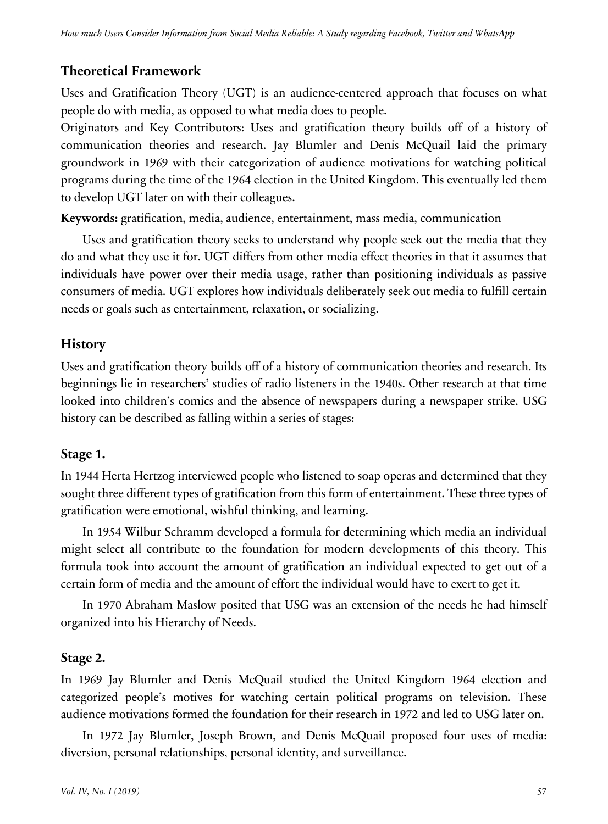# **Theoretical Framework**

Uses and Gratification Theory (UGT) is an audience-centered approach that focuses on what people do with media, as opposed to what media does to people.

Originators and Key Contributors: Uses and gratification theory builds off of a history of communication theories and research. Jay Blumler and Denis McQuail laid the primary groundwork in 1969 with their categorization of audience motivations for watching political programs during the time of the 1964 election in the United Kingdom. This eventually led them to develop UGT later on with their colleagues.

**Keywords:** gratification, media, audience, entertainment, mass media, communication

Uses and gratification theory seeks to understand why people seek out the media that they do and what they use it for. UGT differs from other media effect theories in that it assumes that individuals have power over their media usage, rather than positioning individuals as passive consumers of media. UGT explores how individuals deliberately seek out media to fulfill certain needs or goals such as entertainment, relaxation, or socializing.

### **History**

Uses and gratification theory builds off of a history of communication theories and research. Its beginnings lie in researchers' studies of radio listeners in the 1940s. Other research at that time looked into children's comics and the absence of newspapers during a newspaper strike. USG history can be described as falling within a series of stages:

### **Stage 1.**

In 1944 Herta Hertzog interviewed people who listened to soap operas and determined that they sought three different types of gratification from this form of entertainment. These three types of gratification were emotional, wishful thinking, and learning.

In 1954 Wilbur Schramm developed a formula for determining which media an individual might select all contribute to the foundation for modern developments of this theory. This formula took into account the amount of gratification an individual expected to get out of a certain form of media and the amount of effort the individual would have to exert to get it.

In 1970 Abraham Maslow posited that USG was an extension of the needs he had himself organized into his Hierarchy of Needs.

# **Stage 2.**

In 1969 Jay Blumler and Denis McQuail studied the United Kingdom 1964 election and categorized people's motives for watching certain political programs on television. These audience motivations formed the foundation for their research in 1972 and led to USG later on.

In 1972 Jay Blumler, Joseph Brown, and Denis McQuail proposed four uses of media: diversion, personal relationships, personal identity, and surveillance.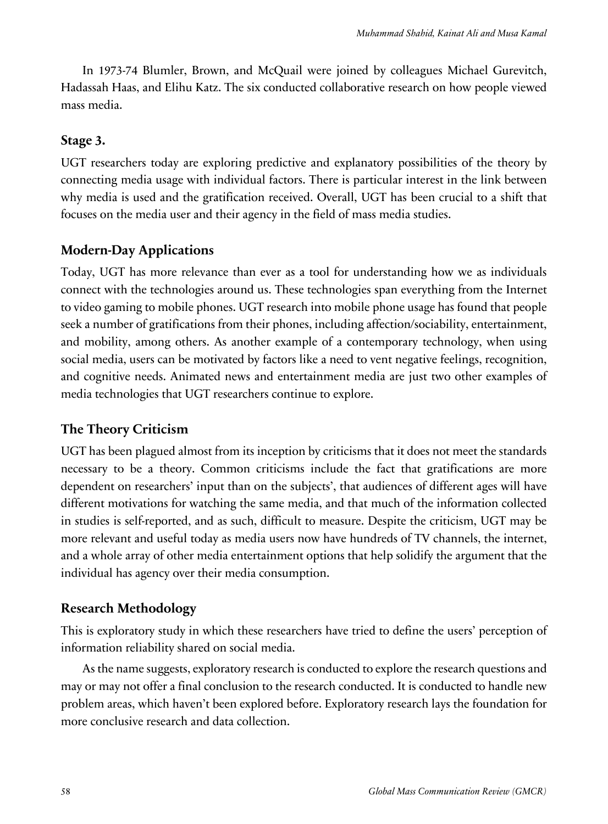In 1973-74 Blumler, Brown, and McQuail were joined by colleagues Michael Gurevitch, Hadassah Haas, and Elihu Katz. The six conducted collaborative research on how people viewed mass media.

#### **Stage 3.**

UGT researchers today are exploring predictive and explanatory possibilities of the theory by connecting media usage with individual factors. There is particular interest in the link between why media is used and the gratification received. Overall, UGT has been crucial to a shift that focuses on the media user and their agency in the field of mass media studies.

### **Modern-Day Applications**

Today, UGT has more relevance than ever as a tool for understanding how we as individuals connect with the technologies around us. These technologies span everything from the Internet to video gaming to mobile phones. UGT research into mobile phone usage has found that people seek a number of gratifications from their phones, including affection/sociability, entertainment, and mobility, among others. As another example of a contemporary technology, when using social media, users can be motivated by factors like a need to vent negative feelings, recognition, and cognitive needs. Animated news and entertainment media are just two other examples of media technologies that UGT researchers continue to explore.

### **The Theory Criticism**

UGT has been plagued almost from its inception by criticisms that it does not meet the standards necessary to be a theory. Common criticisms include the fact that gratifications are more dependent on researchers' input than on the subjects', that audiences of different ages will have different motivations for watching the same media, and that much of the information collected in studies is self-reported, and as such, difficult to measure. Despite the criticism, UGT may be more relevant and useful today as media users now have hundreds of TV channels, the internet, and a whole array of other media entertainment options that help solidify the argument that the individual has agency over their media consumption.

### **Research Methodology**

This is exploratory study in which these researchers have tried to define the users' perception of information reliability shared on social media.

As the name suggests, exploratory research is conducted to explore the research questions and may or may not offer a final conclusion to the research conducted. It is conducted to handle new problem areas, which haven't been explored before. Exploratory research lays the foundation for more conclusive research and data collection.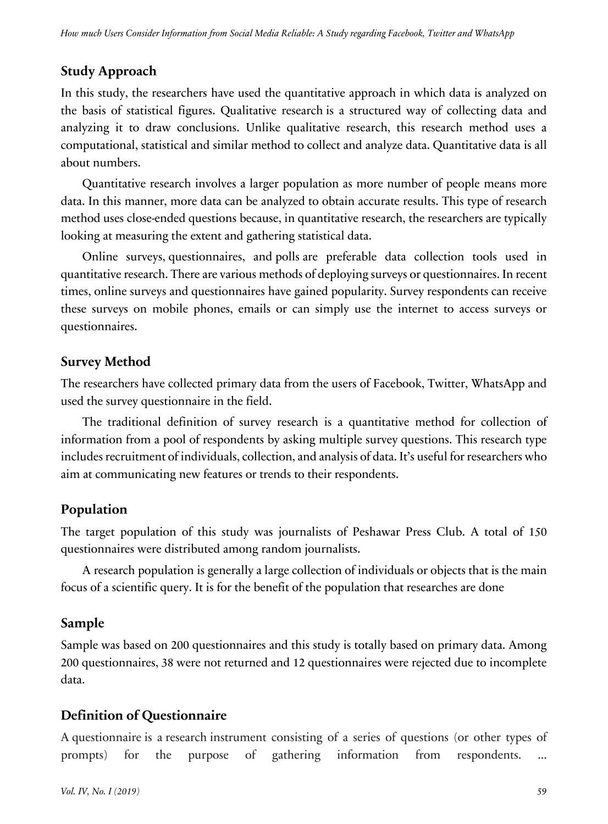### **Study Approach**

In this study, the researchers have used the quantitative approach in which data is analyzed on the basis of statistical figures. Qualitative research is a structured way of collecting data and analyzing it to draw conclusions. Unlike qualitative research, this research method uses a computational, statistical and similar method to collect and analyze data. Quantitative data is all about numbers.

Quantitative research involves a larger population as more number of people means more data. In this manner, more data can be analyzed to obtain accurate results. This type of research method uses close-ended questions because, in quantitative research, the researchers are typically looking at measuring the extent and gathering statistical data.

Online surveys, questionnaires, and polls are preferable data collection tools used in quantitative research. There are various methods of deploying surveys or questionnaires. In recent times, online surveys and questionnaires have gained popularity. Survey respondents can receive these surveys on mobile phones, emails or can simply use the internet to access surveys or questionnaires.

#### **Survey Method**

The researchers have collected primary data from the users of Facebook, Twitter, WhatsApp and used the survey questionnaire in the field.

The traditional definition of survey research is a quantitative method for collection of information from a pool of respondents by asking multiple survey questions. This research type includes recruitment of individuals, collection, and analysis of data. It's useful for researchers who aim at communicating new features or trends to their respondents.

### **Population**

The target population of this study was journalists of Peshawar Press Club. A total of 150 questionnaires were distributed among random journalists.

A research population is generally a large collection of individuals or objects that is the main focus of a scientific query. It is for the benefit of the population that researches are done

### **Sample**

Sample was based on 200 questionnaires and this study is totally based on primary data. Among 200 questionnaires, 38 were not returned and 12 questionnaires were rejected due to incomplete data.

# **Definition of Questionnaire**

A questionnaire is a research instrument consisting of a series of questions (or other types of prompts) for the purpose of gathering information from respondents. ...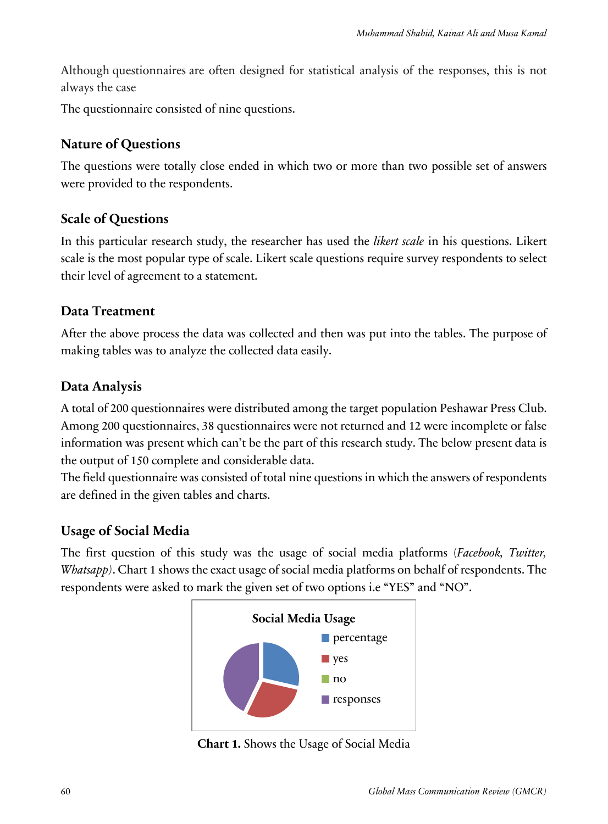Although questionnaires are often designed for statistical analysis of the responses, this is not always the case

The questionnaire consisted of nine questions.

### **Nature of Questions**

The questions were totally close ended in which two or more than two possible set of answers were provided to the respondents.

### **Scale of Questions**

In this particular research study, the researcher has used the *likert scale* in his questions. Likert scale is the most popular type of scale. Likert scale questions require survey respondents to select their level of agreement to a statement.

### **Data Treatment**

After the above process the data was collected and then was put into the tables. The purpose of making tables was to analyze the collected data easily.

### **Data Analysis**

A total of 200 questionnaires were distributed among the target population Peshawar Press Club. Among 200 questionnaires, 38 questionnaires were not returned and 12 were incomplete or false information was present which can't be the part of this research study. The below present data is the output of 150 complete and considerable data.

The field questionnaire was consisted of total nine questions in which the answers of respondents are defined in the given tables and charts.

# **Usage of Social Media**

The first question of this study was the usage of social media platforms (*Facebook, Twitter, Whatsapp)*. Chart 1 shows the exact usage of social media platforms on behalf of respondents. The respondents were asked to mark the given set of two options i.e "YES" and "NO".



**Chart 1.** Shows the Usage of Social Media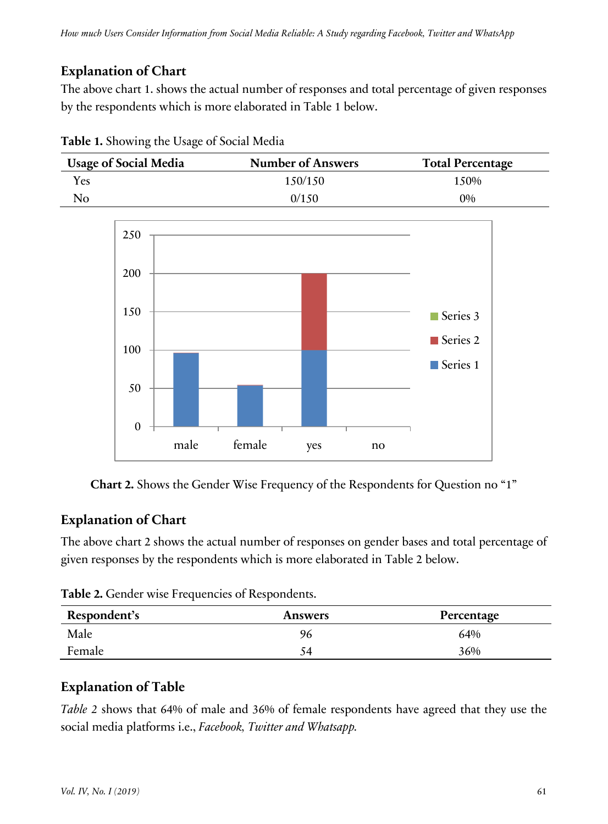# **Explanation of Chart**

The above chart 1. shows the actual number of responses and total percentage of given responses by the respondents which is more elaborated in Table 1 below.



**Table 1.** Showing the Usage of Social Media



**Chart 2.** Shows the Gender Wise Frequency of the Respondents for Question no "1"

# **Explanation of Chart**

The above chart 2 shows the actual number of responses on gender bases and total percentage of given responses by the respondents which is more elaborated in Table 2 below.

Table 2. Gender wise Frequencies of Respondents.

| Respondent's | <b>Answers</b> | Percentage |
|--------------|----------------|------------|
| Male         | 96             | 64%        |
| Female       | 54             | 36%        |

# **Explanation of Table**

*Table 2* shows that 64% of male and 36% of female respondents have agreed that they use the social media platforms i.e., *Facebook, Twitter and Whatsapp.*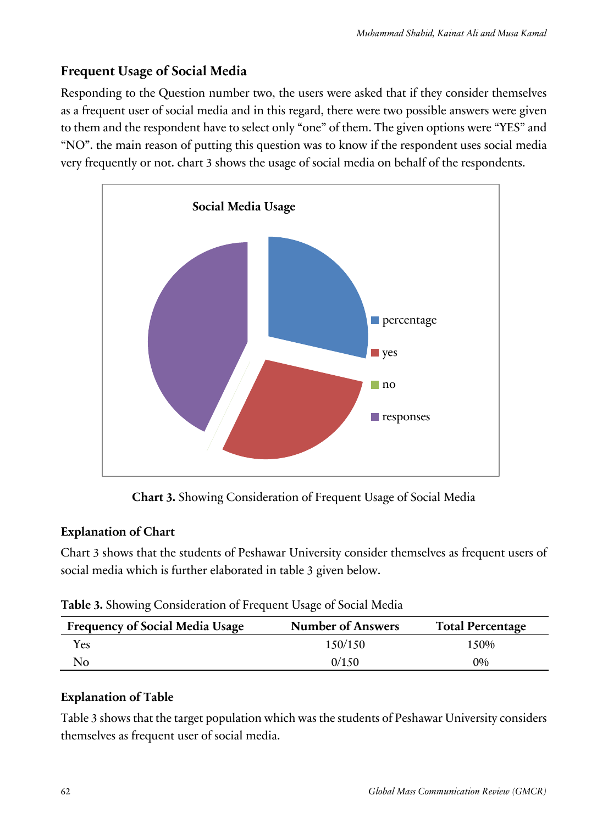# **Frequent Usage of Social Media**

Responding to the Question number two, the users were asked that if they consider themselves as a frequent user of social media and in this regard, there were two possible answers were given to them and the respondent have to select only "one" of them. The given options were "YES" and "NO". the main reason of putting this question was to know if the respondent uses social media very frequently or not. chart 3 shows the usage of social media on behalf of the respondents.



**Chart 3.** Showing Consideration of Frequent Usage of Social Media

### **Explanation of Chart**

Chart 3 shows that the students of Peshawar University consider themselves as frequent users of social media which is further elaborated in table 3 given below.

| <b>Frequency of Social Media Usage</b> | <b>Number of Answers</b> | <b>Total Percentage</b> |
|----------------------------------------|--------------------------|-------------------------|
| Yes                                    | 1.50/1.50                | 1.50%                   |
| N <sub>0</sub>                         | 0/1.50                   | 0%                      |

### **Explanation of Table**

Table 3 shows that the target population which was the students of Peshawar University considers themselves as frequent user of social media.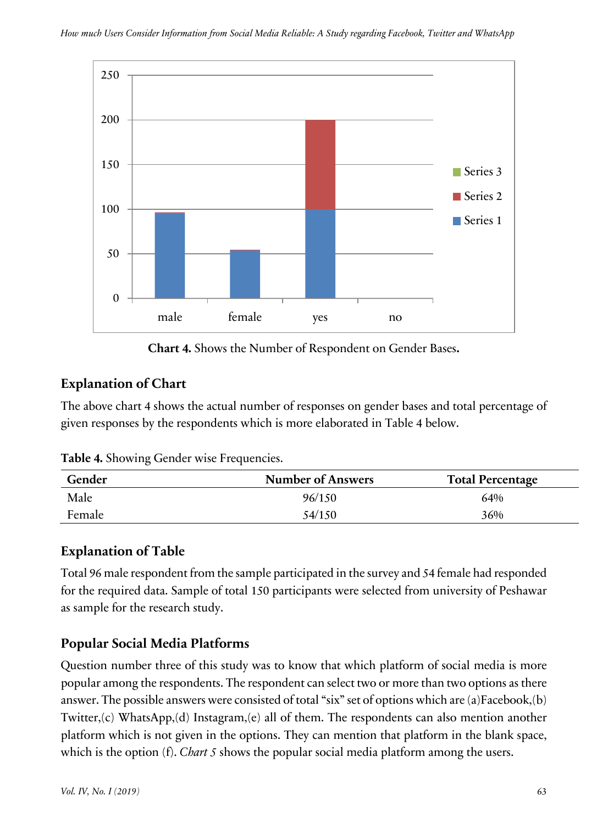

**Chart 4.** Shows the Number of Respondent on Gender Bases**.**

# **Explanation of Chart**

The above chart 4 shows the actual number of responses on gender bases and total percentage of given responses by the respondents which is more elaborated in Table 4 below.

| Table 4. Showing Gender wise Frequencies. |  |  |  |  |  |  |
|-------------------------------------------|--|--|--|--|--|--|
|-------------------------------------------|--|--|--|--|--|--|

| Gender | <b>Number of Answers</b> | <b>Total Percentage</b> |
|--------|--------------------------|-------------------------|
| Male   | 96/150                   | 64%                     |
| Female | 54/150                   | 36%                     |

### **Explanation of Table**

Total 96 male respondent from the sample participated in the survey and 54 female had responded for the required data. Sample of total 150 participants were selected from university of Peshawar as sample for the research study.

# **Popular Social Media Platforms**

Question number three of this study was to know that which platform of social media is more popular among the respondents. The respondent can select two or more than two options as there answer. The possible answers were consisted of total "six" set of options which are (a)Facebook,(b) Twitter,(c) WhatsApp,(d) Instagram,(e) all of them. The respondents can also mention another platform which is not given in the options. They can mention that platform in the blank space, which is the option (f). *Chart 5* shows the popular social media platform among the users.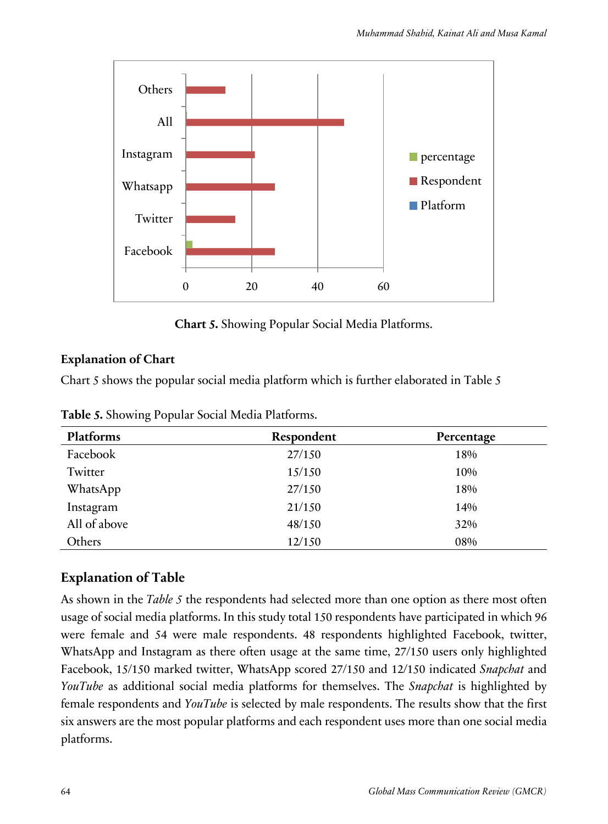

**Chart 5.** Showing Popular Social Media Platforms.

### **Explanation of Chart**

Chart 5 shows the popular social media platform which is further elaborated in Table 5

| Platforms    | Respondent | Percentage |
|--------------|------------|------------|
| Facebook     | 27/150     | 18%        |
| Twitter      | 15/150     | 10%        |
| WhatsApp     | 27/150     | 18%        |
| Instagram    | 21/150     | 14%        |
| All of above | 48/150     | 32%        |
| Others       | 12/150     | 08%        |

**Table 5.** Showing Popular Social Media Platforms.

# **Explanation of Table**

As shown in the *Table 5* the respondents had selected more than one option as there most often usage of social media platforms. In this study total 150 respondents have participated in which 96 were female and 54 were male respondents. 48 respondents highlighted Facebook, twitter, WhatsApp and Instagram as there often usage at the same time, 27/150 users only highlighted Facebook, 15/150 marked twitter, WhatsApp scored 27/150 and 12/150 indicated *Snapchat* and *YouTube* as additional social media platforms for themselves. The *Snapchat* is highlighted by female respondents and *YouTube* is selected by male respondents. The results show that the first six answers are the most popular platforms and each respondent uses more than one social media platforms.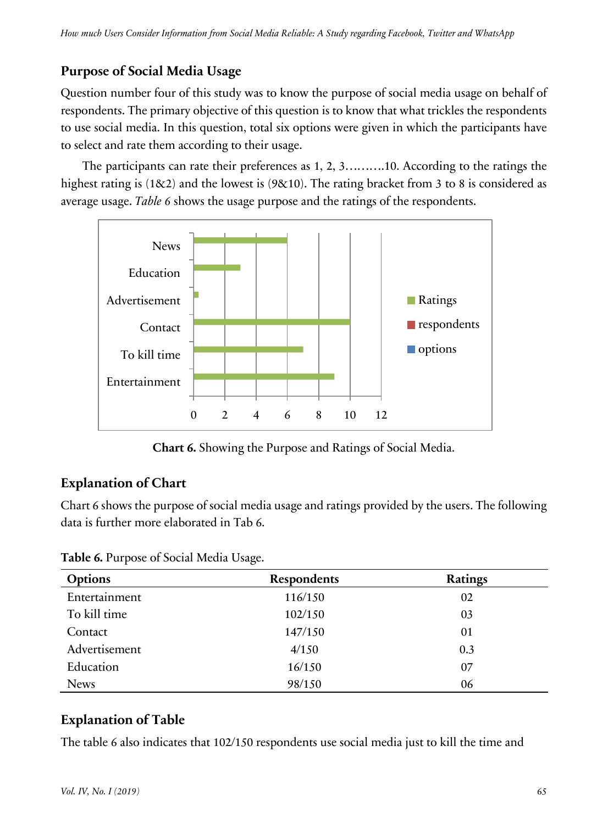# **Purpose of Social Media Usage**

Question number four of this study was to know the purpose of social media usage on behalf of respondents. The primary objective of this question is to know that what trickles the respondents to use social media. In this question, total six options were given in which the participants have to select and rate them according to their usage.

The participants can rate their preferences as 1, 2, 3……….10. According to the ratings the highest rating is (1&2) and the lowest is (9&10). The rating bracket from 3 to 8 is considered as average usage. *Table 6* shows the usage purpose and the ratings of the respondents.



**Chart 6.** Showing the Purpose and Ratings of Social Media.

# **Explanation of Chart**

Chart 6 shows the purpose of social media usage and ratings provided by the users. The following data is further more elaborated in Tab 6.

| <b>Options</b> | <b>Respondents</b> | Ratings |
|----------------|--------------------|---------|
| Entertainment  | 116/150            | 02      |
| To kill time   | 102/150            | 03      |
| Contact        | 147/150            | 01      |
| Advertisement  | 4/150              | 0.3     |
| Education      | 16/150             | 07      |
| <b>News</b>    | 98/150             | 06      |

**Table 6.** Purpose of Social Media Usage.

# **Explanation of Table**

The table 6 also indicates that 102/150 respondents use social media just to kill the time and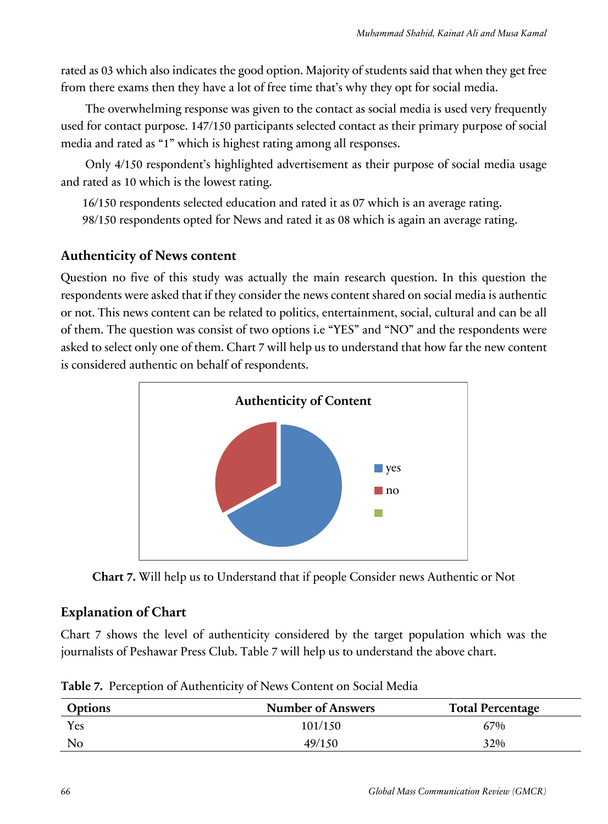rated as 03 which also indicates the good option. Majority of students said that when they get free from there exams then they have a lot of free time that's why they opt for social media.

The overwhelming response was given to the contact as social media is used very frequently used for contact purpose. 147/150 participants selected contact as their primary purpose of social media and rated as "1" which is highest rating among all responses.

Only 4/150 respondent's highlighted advertisement as their purpose of social media usage and rated as 10 which is the lowest rating.

16/150 respondents selected education and rated it as 07 which is an average rating.

98/150 respondents opted for News and rated it as 08 which is again an average rating.

# **Authenticity of News content**

Question no five of this study was actually the main research question. In this question the respondents were asked that if they consider the news content shared on social media is authentic or not. This news content can be related to politics, entertainment, social, cultural and can be all of them. The question was consist of two options i.e "YES" and "NO" and the respondents were asked to select only one of them. Chart 7 will help us to understand that how far the new content is considered authentic on behalf of respondents.



**Chart 7.** Will help us to Understand that if people Consider news Authentic or Not

# **Explanation of Chart**

Chart 7 shows the level of authenticity considered by the target population which was the journalists of Peshawar Press Club. Table 7 will help us to understand the above chart.

| <b>Options</b> | <b>Number of Answers</b> | <b>Total Percentage</b> |
|----------------|--------------------------|-------------------------|
| Yes            | 101/150                  | 67%                     |
| No             | 49/150                   | 32%                     |

**Table 7.** Perception of Authenticity of News Content on Social Media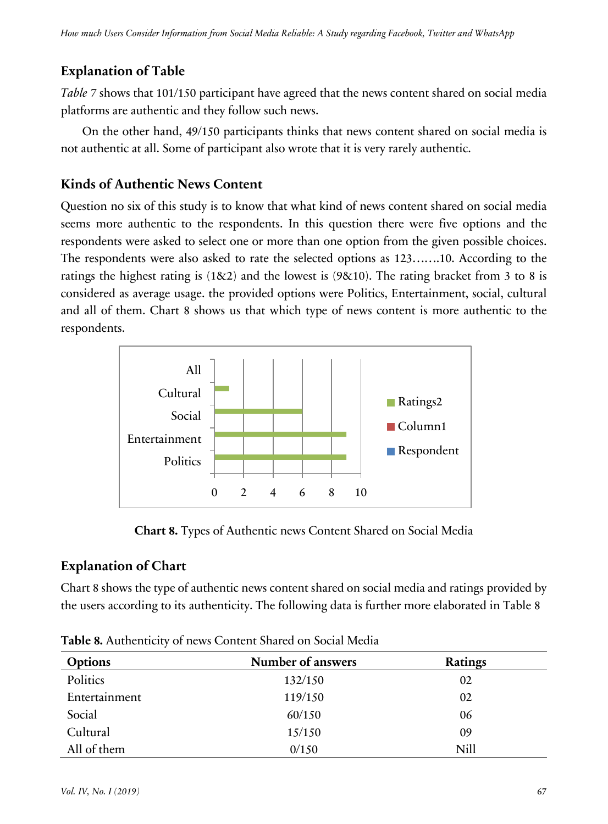*Table 7* shows that 101/150 participant have agreed that the news content shared on social media platforms are authentic and they follow such news.

On the other hand, 49/150 participants thinks that news content shared on social media is not authentic at all. Some of participant also wrote that it is very rarely authentic.

# **Kinds of Authentic News Content**

Question no six of this study is to know that what kind of news content shared on social media seems more authentic to the respondents. In this question there were five options and the respondents were asked to select one or more than one option from the given possible choices. The respondents were also asked to rate the selected options as 123…….10. According to the ratings the highest rating is (1&2) and the lowest is (9&10). The rating bracket from 3 to 8 is considered as average usage. the provided options were Politics, Entertainment, social, cultural and all of them. Chart 8 shows us that which type of news content is more authentic to the respondents.



**Chart 8.** Types of Authentic news Content Shared on Social Media

# **Explanation of Chart**

Chart 8 shows the type of authentic news content shared on social media and ratings provided by the users according to its authenticity. The following data is further more elaborated in Table 8

| <b>Options</b> | Number of answers | <b>Ratings</b> |
|----------------|-------------------|----------------|
| Politics       | 132/150           | 02             |
| Entertainment  | 119/150           | 02             |
| Social         | 60/150            | 06             |
| Cultural       | 15/150            | 09             |
| All of them    | 0/150             | <b>Nill</b>    |

**Table 8.** Authenticity of news Content Shared on Social Media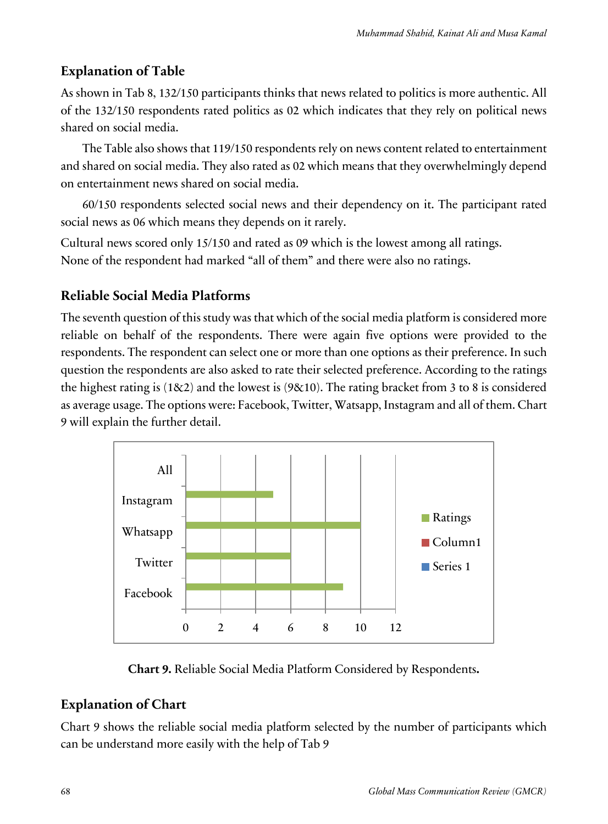As shown in Tab 8, 132/150 participants thinks that news related to politics is more authentic. All of the 132/150 respondents rated politics as 02 which indicates that they rely on political news shared on social media.

The Table also shows that 119/150 respondents rely on news content related to entertainment and shared on social media. They also rated as 02 which means that they overwhelmingly depend on entertainment news shared on social media.

60/150 respondents selected social news and their dependency on it. The participant rated social news as 06 which means they depends on it rarely.

Cultural news scored only 15/150 and rated as 09 which is the lowest among all ratings. None of the respondent had marked "all of them" and there were also no ratings.

# **Reliable Social Media Platforms**

The seventh question of this study was that which of the social media platform is considered more reliable on behalf of the respondents. There were again five options were provided to the respondents. The respondent can select one or more than one options as their preference. In such question the respondents are also asked to rate their selected preference. According to the ratings the highest rating is  $(182)$  and the lowest is  $(98.10)$ . The rating bracket from 3 to 8 is considered as average usage. The options were: Facebook, Twitter, Watsapp, Instagram and all of them. Chart 9 will explain the further detail.



**Chart 9.** Reliable Social Media Platform Considered by Respondents**.**

# **Explanation of Chart**

Chart 9 shows the reliable social media platform selected by the number of participants which can be understand more easily with the help of Tab 9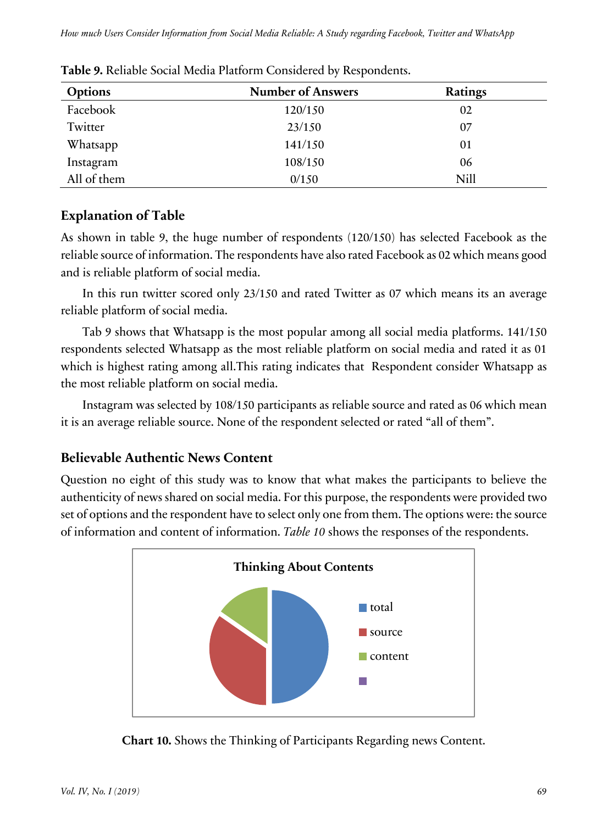| <b>Options</b> | <b>Number of Answers</b> | <b>Ratings</b> |
|----------------|--------------------------|----------------|
| Facebook       | 120/150                  | 02             |
| Twitter        | 23/150                   | 07             |
| Whatsapp       | 141/150                  | 01             |
| Instagram      | 108/150                  | 06             |
| All of them    | 0/150                    | <b>Nill</b>    |

**Table 9.** Reliable Social Media Platform Considered by Respondents.

As shown in table 9, the huge number of respondents (120/150) has selected Facebook as the reliable source of information. The respondents have also rated Facebook as 02 which means good and is reliable platform of social media.

In this run twitter scored only 23/150 and rated Twitter as 07 which means its an average reliable platform of social media.

Tab 9 shows that Whatsapp is the most popular among all social media platforms. 141/150 respondents selected Whatsapp as the most reliable platform on social media and rated it as 01 which is highest rating among all.This rating indicates that Respondent consider Whatsapp as the most reliable platform on social media.

Instagram was selected by 108/150 participants as reliable source and rated as 06 which mean it is an average reliable source. None of the respondent selected or rated "all of them".

### **Believable Authentic News Content**

Question no eight of this study was to know that what makes the participants to believe the authenticity of news shared on social media. For this purpose, the respondents were provided two set of options and the respondent have to select only one from them. The options were: the source of information and content of information. *Table 10* shows the responses of the respondents.



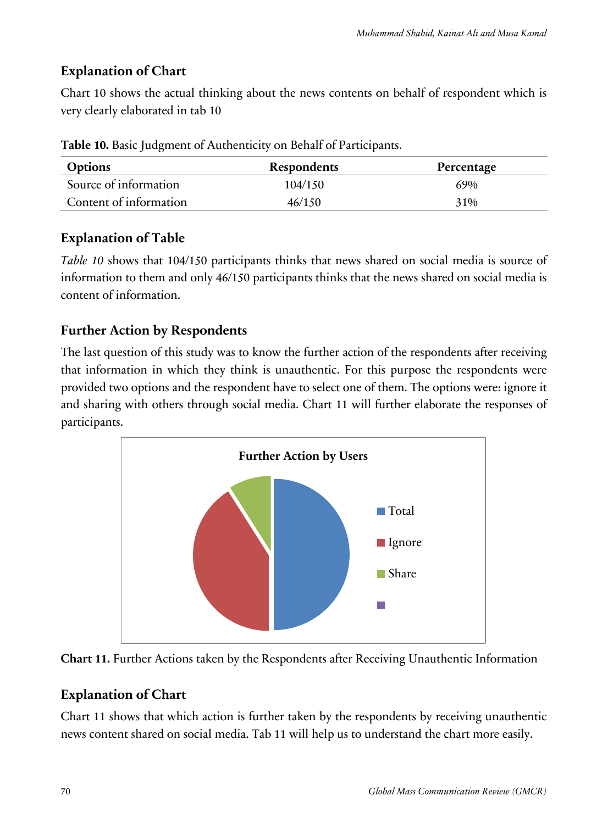# **Explanation of Chart**

Chart 10 shows the actual thinking about the news contents on behalf of respondent which is very clearly elaborated in tab 10

| <b>Options</b>         | Respondents | Percentage |
|------------------------|-------------|------------|
| Source of information  | 104/150     | 69%        |
| Content of information | 46/150      | 31%        |

**Table 10.** Basic Judgment of Authenticity on Behalf of Participants.

### **Explanation of Table**

*Table 10* shows that 104/150 participants thinks that news shared on social media is source of information to them and only 46/150 participants thinks that the news shared on social media is content of information.

# **Further Action by Respondents**

The last question of this study was to know the further action of the respondents after receiving that information in which they think is unauthentic. For this purpose the respondents were provided two options and the respondent have to select one of them. The options were: ignore it and sharing with others through social media. Chart 11 will further elaborate the responses of participants.





# **Explanation of Chart**

Chart 11 shows that which action is further taken by the respondents by receiving unauthentic news content shared on social media. Tab 11 will help us to understand the chart more easily.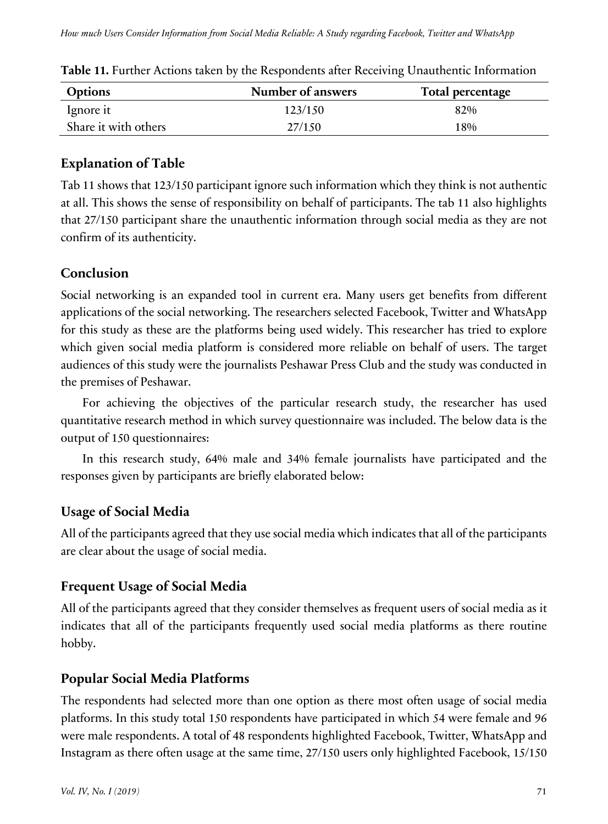| <b>Options</b>       | Number of answers | Total percentage |
|----------------------|-------------------|------------------|
| lgnore it            | 123/150           | 82%              |
| Share it with others | 27/150            | 18%              |

|  |  |  | Table 11. Further Actions taken by the Respondents after Receiving Unauthentic Information |  |
|--|--|--|--------------------------------------------------------------------------------------------|--|
|  |  |  |                                                                                            |  |

Tab 11 shows that 123/150 participant ignore such information which they think is not authentic at all. This shows the sense of responsibility on behalf of participants. The tab 11 also highlights that 27/150 participant share the unauthentic information through social media as they are not confirm of its authenticity.

### **Conclusion**

Social networking is an expanded tool in current era. Many users get benefits from different applications of the social networking. The researchers selected Facebook, Twitter and WhatsApp for this study as these are the platforms being used widely. This researcher has tried to explore which given social media platform is considered more reliable on behalf of users. The target audiences of this study were the journalists Peshawar Press Club and the study was conducted in the premises of Peshawar.

For achieving the objectives of the particular research study, the researcher has used quantitative research method in which survey questionnaire was included. The below data is the output of 150 questionnaires:

In this research study, 64% male and 34% female journalists have participated and the responses given by participants are briefly elaborated below:

# **Usage of Social Media**

All of the participants agreed that they use social media which indicates that all of the participants are clear about the usage of social media.

# **Frequent Usage of Social Media**

All of the participants agreed that they consider themselves as frequent users of social media as it indicates that all of the participants frequently used social media platforms as there routine hobby.

# **Popular Social Media Platforms**

The respondents had selected more than one option as there most often usage of social media platforms. In this study total 150 respondents have participated in which 54 were female and 96 were male respondents. A total of 48 respondents highlighted Facebook, Twitter, WhatsApp and Instagram as there often usage at the same time, 27/150 users only highlighted Facebook, 15/150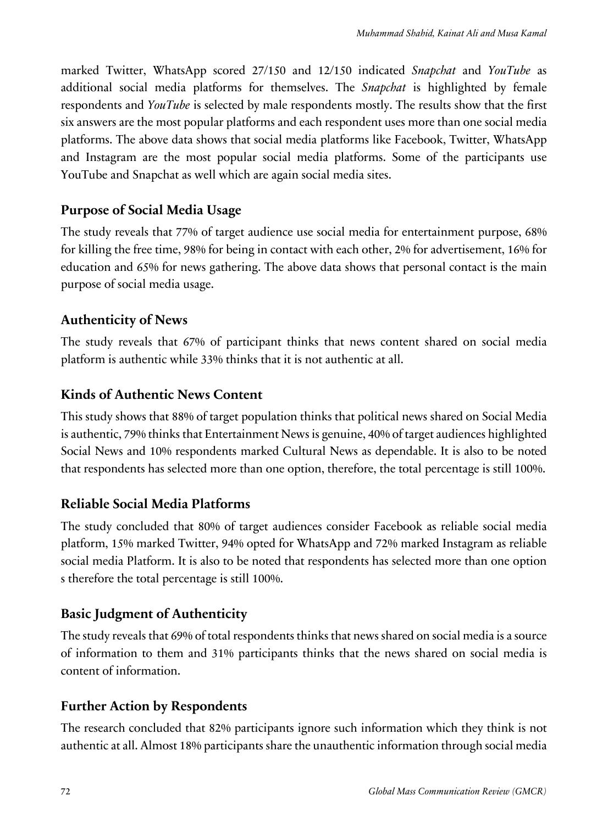marked Twitter, WhatsApp scored 27/150 and 12/150 indicated *Snapchat* and *YouTube* as additional social media platforms for themselves. The *Snapchat* is highlighted by female respondents and *YouTube* is selected by male respondents mostly. The results show that the first six answers are the most popular platforms and each respondent uses more than one social media platforms. The above data shows that social media platforms like Facebook, Twitter, WhatsApp and Instagram are the most popular social media platforms. Some of the participants use YouTube and Snapchat as well which are again social media sites.

### **Purpose of Social Media Usage**

The study reveals that 77% of target audience use social media for entertainment purpose, 68% for killing the free time, 98% for being in contact with each other, 2% for advertisement, 16% for education and 65% for news gathering. The above data shows that personal contact is the main purpose of social media usage.

### **Authenticity of News**

The study reveals that 67% of participant thinks that news content shared on social media platform is authentic while 33% thinks that it is not authentic at all.

### **Kinds of Authentic News Content**

This study shows that 88% of target population thinks that political news shared on Social Media is authentic, 79% thinks that Entertainment News is genuine, 40% of target audiences highlighted Social News and 10% respondents marked Cultural News as dependable. It is also to be noted that respondents has selected more than one option, therefore, the total percentage is still 100%.

### **Reliable Social Media Platforms**

The study concluded that 80% of target audiences consider Facebook as reliable social media platform, 15% marked Twitter, 94% opted for WhatsApp and 72% marked Instagram as reliable social media Platform. It is also to be noted that respondents has selected more than one option s therefore the total percentage is still 100%.

# **Basic Judgment of Authenticity**

The study reveals that 69% of total respondents thinks that news shared on social media is a source of information to them and 31% participants thinks that the news shared on social media is content of information.

# **Further Action by Respondents**

The research concluded that 82% participants ignore such information which they think is not authentic at all. Almost 18% participants share the unauthentic information through social media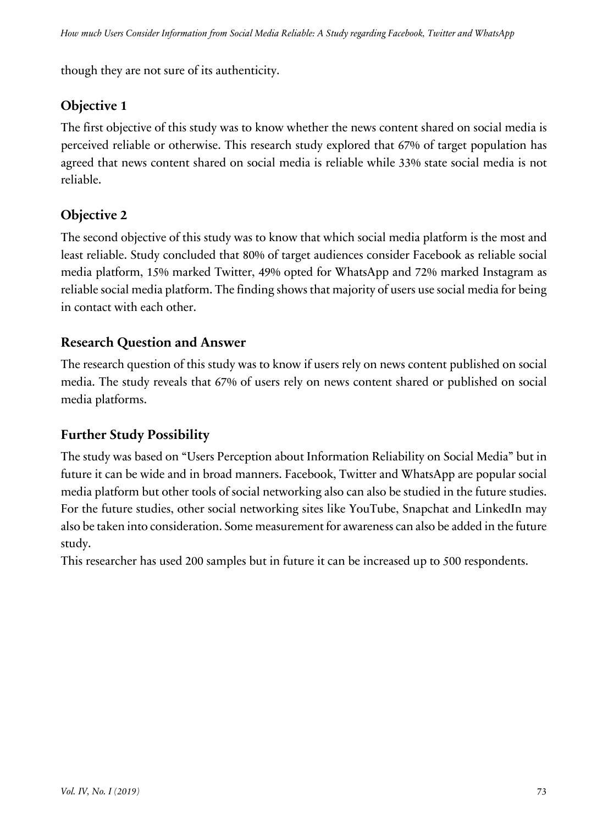though they are not sure of its authenticity.

# **Objective 1**

The first objective of this study was to know whether the news content shared on social media is perceived reliable or otherwise. This research study explored that 67% of target population has agreed that news content shared on social media is reliable while 33% state social media is not reliable.

# **Objective 2**

The second objective of this study was to know that which social media platform is the most and least reliable. Study concluded that 80% of target audiences consider Facebook as reliable social media platform, 15% marked Twitter, 49% opted for WhatsApp and 72% marked Instagram as reliable social media platform. The finding shows that majority of users use social media for being in contact with each other.

# **Research Question and Answer**

The research question of this study was to know if users rely on news content published on social media. The study reveals that 67% of users rely on news content shared or published on social media platforms.

# **Further Study Possibility**

The study was based on "Users Perception about Information Reliability on Social Media" but in future it can be wide and in broad manners. Facebook, Twitter and WhatsApp are popular social media platform but other tools of social networking also can also be studied in the future studies. For the future studies, other social networking sites like YouTube, Snapchat and LinkedIn may also be taken into consideration. Some measurement for awareness can also be added in the future study.

This researcher has used 200 samples but in future it can be increased up to 500 respondents.